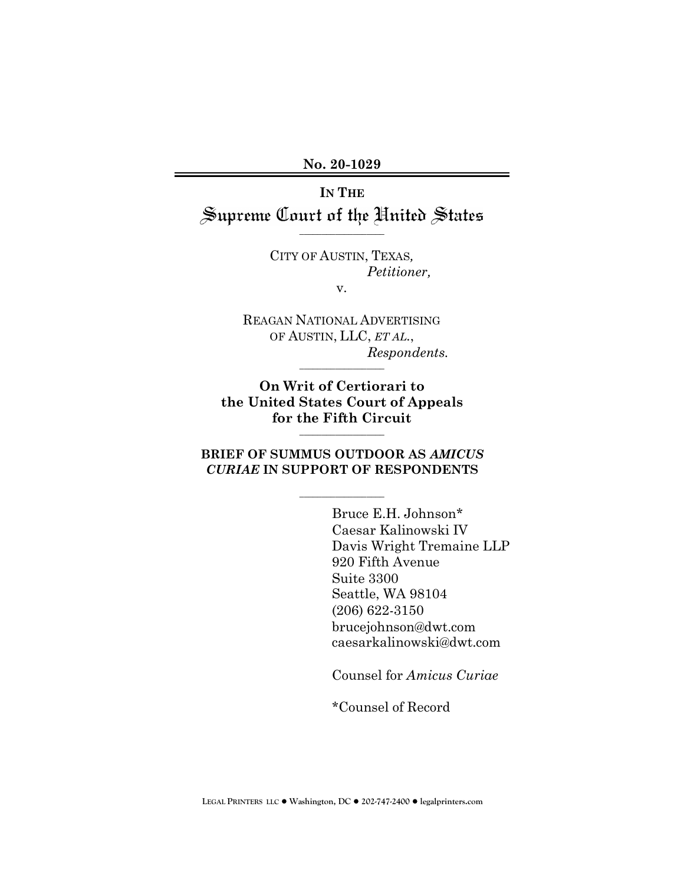No. 20-1029 **No. 20-1029**

IN THE **IN THE** Supreme Court of the United States

\_\_\_\_\_\_\_\_\_\_\_\_\_\_\_\_\_\_\_

CITY OF AUSTIN, TEXAS, CITY OF AUSTIN, TEXAS*,* Petitioner, *Petitioner,*

v. v.

REAGAN NATIONAL ADVERTISING REAGAN NATIONAL ADVERTISING OF AUSTIN, LLC, ET AL., OF AUSTIN, LLC, *ET AL.*, Respondents. *Respondents.* 

On Writ of Certiorari to **On Writ of Certiorari to** the United States Court of Appeals **the United States Court of Appeals** for the Fifth Circuit **for the Fifth Circuit**

\_\_\_\_\_\_\_\_\_\_\_\_\_\_\_\_\_\_\_

\_\_\_\_\_\_\_\_\_\_\_\_\_\_\_\_\_\_\_

### BRIEF OF SUMMUS OUTDOOR AS AMICUS **BRIEF OF SUMMUS OUTDOOR AS** *AMICUS* CURIAE IN SUPPORT OF RESPONDENTS *CURIAE* **IN SUPPORT OF RESPONDENTS**

\_\_\_\_\_\_\_\_\_\_\_\_\_\_\_\_\_\_\_

Bruce E.H. Johnson\* Bruce E.H. Johnson\* Caesar Kalinowski IV Caesar Kalinowski IV Davis Wright Tremaine LLP Davis Wright Tremaine LLP 920 Fifth Avenue 920 Fifth Avenue Suite 3300 Suite 3300 Seattle, WA 98104 Seattle, WA 98104 (206) 622-3150 (206) 622-3150 brucejohnson@dwt.com brucejohnson@dwt.com caesarkalinowski@dwt.com caesarkalinowski@dwt.com

Counsel for Amicus Curiae Counsel for *Amicus Curiae*

\*Counsel of Record \*Counsel of Record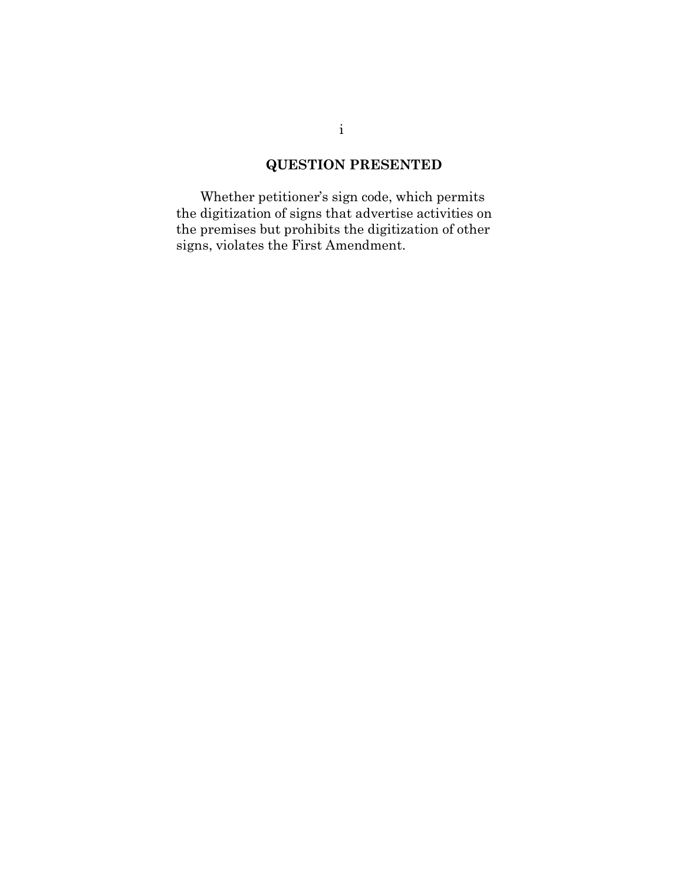## QUESTION PRESENTED **QUESTION PRESENTED**

Whether petitioner's sign code, which permits Whether petitioner's sign code, which permits the digitization of signs that advertise activities on the digitization of signs that advertise activities on the premises but prohibits the digitization of other the premises but prohibits the digitization of other signs, violates the First Amendment. signs, violates the First Amendment.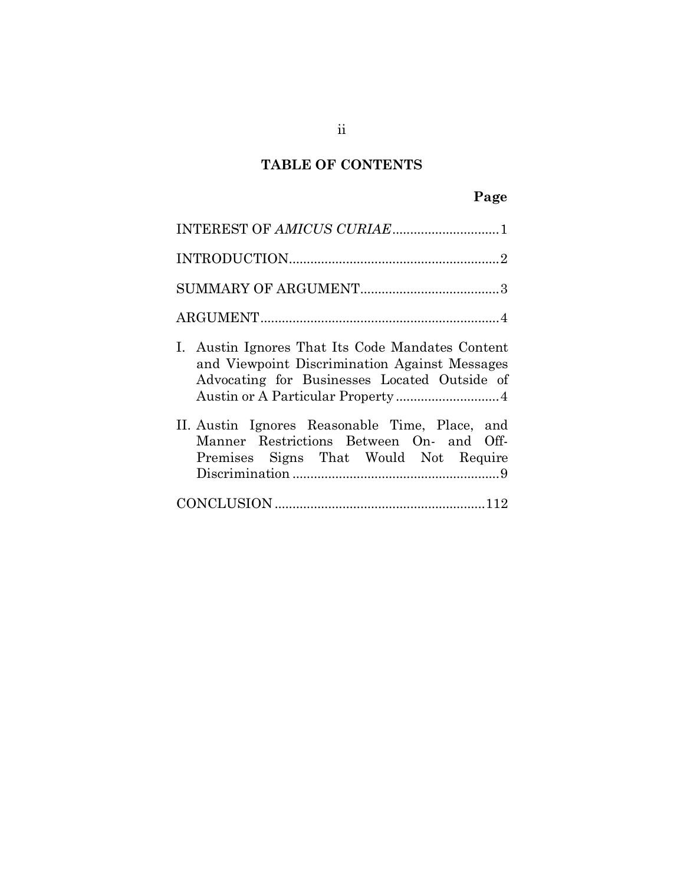## TABLE OF CONTENTS **TABLE OF CONTENTS**

# Page **Page**

| INTEREST OF AMICUS CURIAE1                                                                                                                                     |
|----------------------------------------------------------------------------------------------------------------------------------------------------------------|
|                                                                                                                                                                |
|                                                                                                                                                                |
|                                                                                                                                                                |
| Austin Ignores That Its Code Mandates Content<br>$\mathbf{L}$<br>and Viewpoint Discrimination Against Messages<br>Advocating for Businesses Located Outside of |
| II. Austin Ignores Reasonable Time, Place, and<br>Manner Restrictions Between On- and Off-<br>Premises Signs That Would Not Require                            |
|                                                                                                                                                                |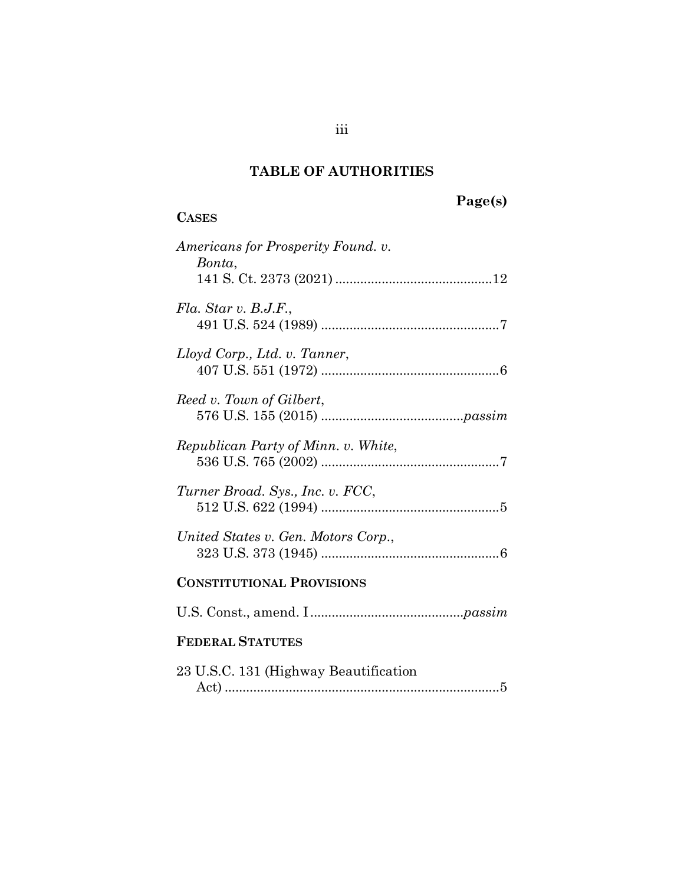# TABLE OF AUTHORITIES **TABLE OF AUTHORITIES**

CASES **CASES**

# Page(s) **Page(s)**

# Americans for Prosperity Found. v. *Americans for Prosperity Found. v.*  Bonta, *Bonta*, 141 S. Ct. 2373 (2021) [12](#page-16-1)  141 S. Ct. 2373 (2021)............................................12 Fla. Star v. B.J.F., *Fla. Star v. B.J.F.*, 491 U.S. 524 (1989) [7](#page-11-0)  491 U.S. 524 (1989) ..................................................7 Lloyd Corp., Ltd. v. Tanner, *Lloyd Corp., Ltd. v. Tanner*, 407 U.S. 551 (1972) [6](#page-10-0)  407 U.S. 551 (1972) ..................................................6 Reed v. Town of Gilbert, *Reed v. Town of Gilbert*, 576 U.S. 155 (2015) [passim](#page-6-1)  576 U.S. 155 (2015) ........................................*passim* Republican Party of Minn. v. White, *Republican Party of Minn. v. White*, 536 U.S. 765 (2002) [7](#page-11-1)  536 U.S. 765 (2002) ..................................................7 Turner Broad. Sys., Inc. v. FCC, *Turner Broad. Sys., Inc. v. FCC*, 512 U.S. 622 (1994) [5](#page-9-0)  512 U.S. 622 (1994) ..................................................5 United States v. Gen. Motors Corp., *United States v. Gen. Motors Corp.*, 323 U.S. 373 (1945) [6](#page-10-1)  323 U.S. 373 (1945) ..................................................6 CONSTITUTIONAL PROVISIONS **CONSTITUTIONAL PROVISIONS** U.S. Const., amend. I passim U.S. Const., amend. I ...........................................*passim* FEDERAL STATUTES **FEDERAL STATUTES** 23 U.S.C. 131 (Highway Beautification 23 U.S.C. 131 (Highway Beautification Act) [5](#page-9-1)  Act) .............................................................................5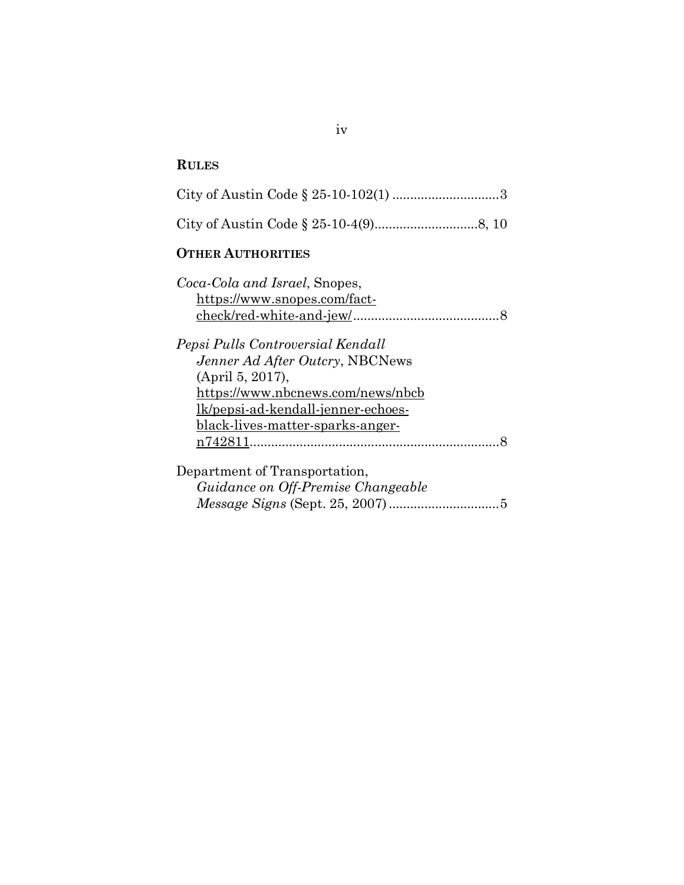#### RULES **RULES**

|  | City of Austin Code $\S 25-10-102(1)$ 3 |  |
|--|-----------------------------------------|--|
|  |                                         |  |

#### OTHER AUTHORITIES **OTHER AUTHORITIES**

| Coca-Cola and Israel, Snopes,      |  |
|------------------------------------|--|
| https://www.snopes.com/fact-       |  |
|                                    |  |
| Pepsi Pulls Controversial Kendall  |  |
| Jenner Ad After Outcry, NBCNews    |  |
| (April 5, 2017),                   |  |
| https://www.nbcnews.com/news/nbcb  |  |
| lk/pepsi-ad-kendall-jenner-echoes- |  |
| black-lives-matter-sparks-anger-   |  |
|                                    |  |
| Department of Transportation,      |  |
| Guidance on Off-Premise Changeable |  |
| 5                                  |  |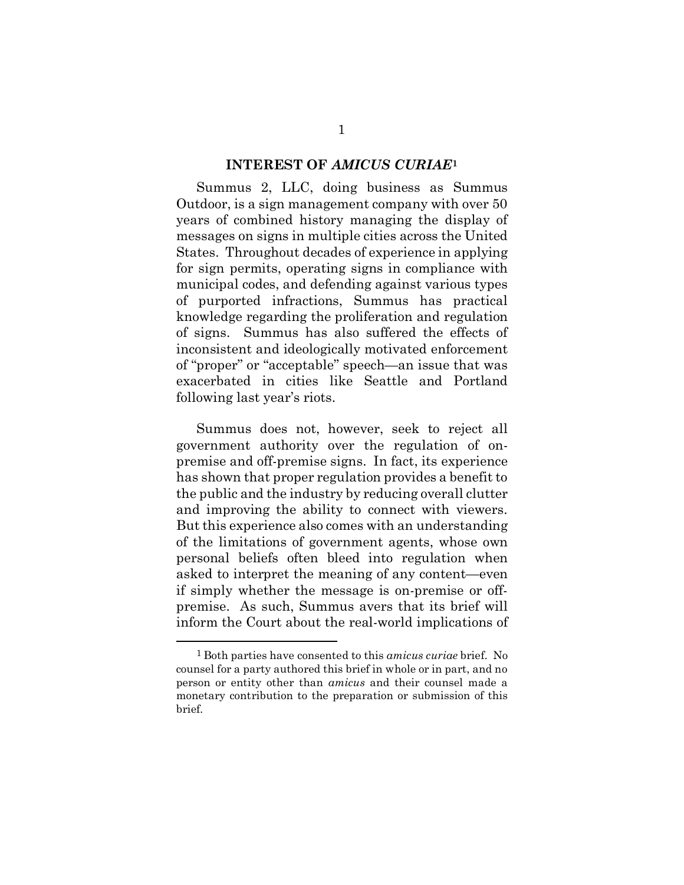# INTEREST OF AMICUS CURIA[E1](#page-5-1) **INTEREST OF** *AMICUS CURIAE***<sup>1</sup>**

<span id="page-5-0"></span>Summus 2, LLC, doing business as Summus Summus 2, LLC, doing business as Summus Outdoor, is a sign management company with over 50 Outdoor, is a sign management company with over 50 years of combined history managing the display of years of combined history managing the display of messages on signs in multiple cities across the United messages on signs in multiple cities across the United States. Throughout decades of experience in applying States. Throughout decades of experience in applying for sign permits, operating signs in compliance with for sign permits, operating signs in compliance with municipal codes, and defending against various types municipal codes, and defending against various types of purported infractions, Summus has practical of purported infractions, Summus has practical knowledge regarding the proliferation and regulation knowledge regarding the proliferation and regulation of signs. Summus has also suffered the effects of of signs. Summus has also suffered the effects of inconsistent and ideologically motivated enforcement inconsistent and ideologically motivated enforcement of "proper" or "acceptable" speech—an issue that was of "proper" or "acceptable" speech—an issue that was exacerbated in cities like Seattle and Portland exacerbated in cities like Seattle and Portland following last year's riots. following last year's riots.

Summus does not, however, seek to reject all Summus does not, however, seek to reject all government authority over the regulation of on-government authority over the regulation of onpremise and off-premise signs. In fact, its experience premise and off-premise signs. In fact, its experience has shown that proper regulation provides a benefit to has shown that proper regulation provides a benefit to the public and the industry by reducing overall clutter the public and the industry by reducing overall clutter and improving the ability to connect with viewers. and improving the ability to connect with viewers. But this experience also comes with an understanding But this experience also comes with an understanding of the limitations of government agents, whose own personal beliefs often bleed into regulation when personal beliefs often bleed into regulation when asked to interpret the meaning of any content—even asked to interpret the meaning of any content—even if simply whether the message is on-premise or off-if simply whether the message is on-premise or offpremise. As such, Summus avers that its brief will premise. As such, Summus avers that its brief will inform the Court about the real-world implications of inform the Court about the real-world implications of

<span id="page-5-1"></span><sup>1</sup>Both parties have consented to this amicus curiae brief. No 1 Both parties have consented to this *amicus curiae* brief. No counsel for a party authored this brief in whole or in part, and no counsel for a party authored this brief in whole or in part, and no person or entity other than amicus and their counsel made a person or entity other than *amicus* and their counsel made a monetary contribution to the preparation or submission of this monetary contribution to the preparation or submission of this brief. brief.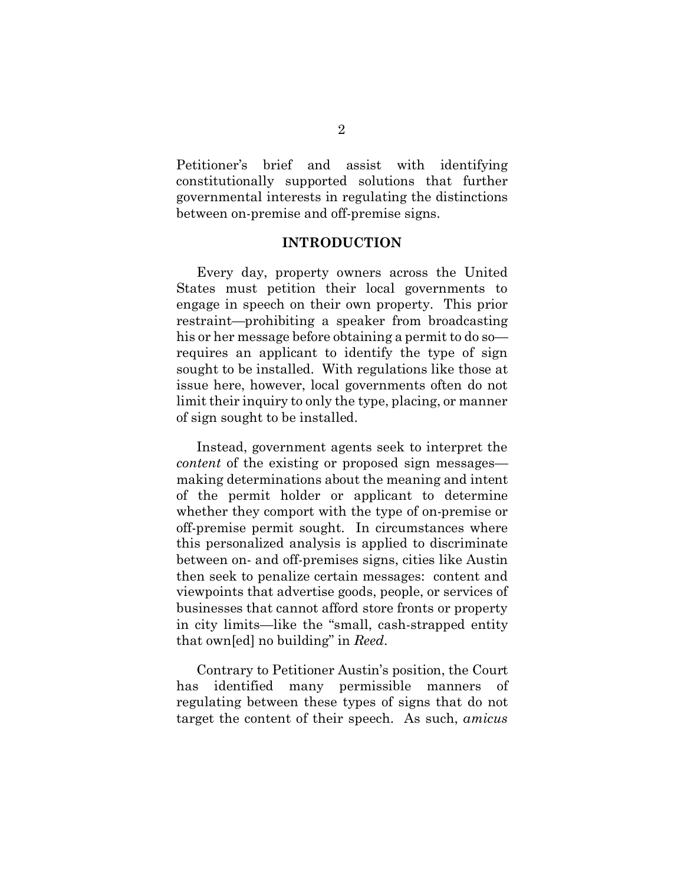Petitioner's brief and assist with identifying Petitioner's brief and assist with identifying constitutionally supported solutions that further constitutionally supported solutions that further governmental interests in regulating the distinctions governmental interests in regulating the distinctions between on-premise and off-premise signs. between on-premise and off-premise signs.

## INTRODUCTION **INTRODUCTION**

<span id="page-6-0"></span>Every day, property owners across the United Every day, property owners across the United States must petition their local governments to States must petition their local governments to engage in speech on their own property. This prior engage in speech on their own property. This prior restraint—prohibiting a speaker from broadcasting his or her message before obtaining a permit to do so— his or her message before obtaining a permit to do so requires an applicant to identify the type of sign sought to be installed. With regulations like those at issue here, however, local governments often do not issue here, however, local governments often do not limit their inquiry to only the type, placing, or manner limit their inquiry to only the type, placing, or manner of sign sought to be installed. of sign sought to be installed.

Instead, government agents seek to interpret the Instead, government agents seek to interpret the content of the existing or proposed sign messages— *content* of the existing or proposed sign messages making determinations about the meaning and intent making determinations about the meaning and intent of the permit holder or applicant to determine of the permit holder or applicant to determine whether they comport with the type of on-premise or whether they comport with the type of on-premise or off-premise permit sought. In circumstances where this personalized analysis is applied to discriminate this personalized analysis is applied to discriminate between on- and off-premises signs, cities like Austin between on- and off-premises signs, cities like Austin then seek to penalize certain messages: content and then seek to penalize certain messages: content and viewpoints that advertise goods, people, or services of viewpoints that advertise goods, people, or services of businesses that cannot afford store fronts or property businesses that cannot afford store fronts or property in city limits—like the "small, cash-strapped entity in city limits—like the "small, cash-strapped entity that own[ed] no building" in Reed. that own[ed] no building" in *Reed*.

<span id="page-6-1"></span>Contrary to Petitioner Austin's position, the Court Contrary to Petitioner Austin's position, the Court has identified many permissible manners of has identified many permissible manners of regulating between these types of signs that do not target the content of their speech. As such, amicus target the content of their speech. As such, *amicus*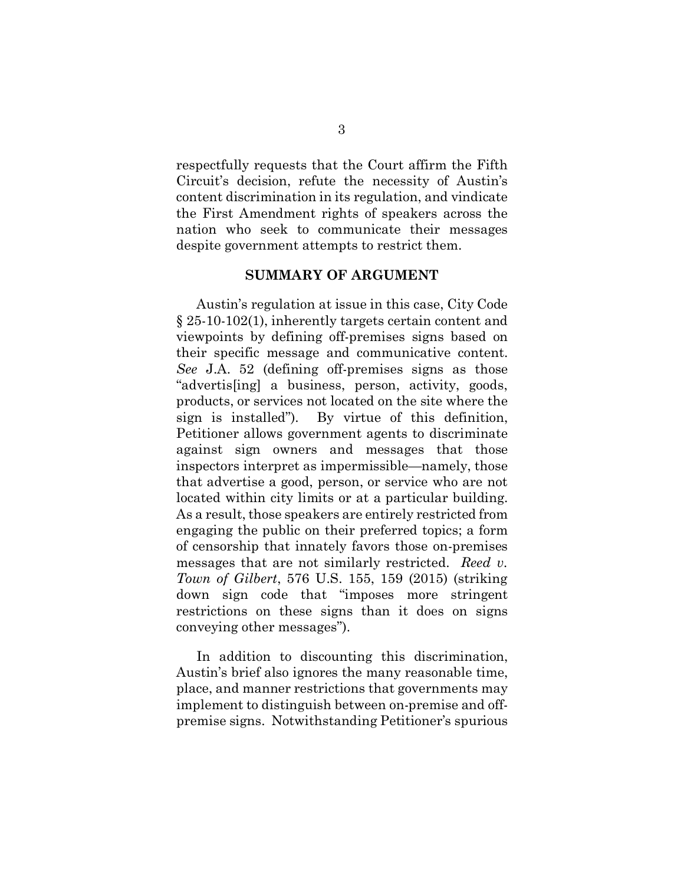respectfully requests that the Court affirm the Fifth Circuit's decision, refute the necessity of Austin's Circuit's decision, refute the necessity of Austin's content discrimination in its regulation, and vindicate content discrimination in its regulation, and vindicate the First Amendment rights of speakers across the the First Amendment rights of speakers across the nation who seek to communicate their messages nation who seek to communicate their messages despite government attempts to restrict them. despite government attempts to restrict them.

## <span id="page-7-1"></span>SUMMARY OF ARGUMENT **SUMMARY OF ARGUMENT**

<span id="page-7-0"></span>Austin's regulation at issue in this case, City Code Austin's regulation at issue in this case, City Code § 25-10-102(1), inherently targets certain content and § 25-10-102(1), inherently targets certain content and viewpoints by defining off-premises signs based on viewpoints by defining off-premises signs based on their specific message and communicative content. their specific message and communicative content. See J.A. 52 (defining off-premises signs as those *See* J.A. 52 (defining off-premises signs as those "advertis[ing] a business, person, activity, goods, products, or services not located on the site where the products, or services not located on the site where the sign is installed"). By virtue of this definition, Petitioner allows government agents to discriminate Petitioner allows government agents to discriminate against sign owners and messages that those against sign owners and messages that those inspectors interpret as impermissible—namely, those inspectors interpret as impermissible—namely, those that advertise a good, person, or service who are not that advertise a good, person, or service who are not located within city limits or at a particular building. located within city limits or at a particular building. As a result, those speakers are entirely restricted from As a result, those speakers are entirely restricted from engaging the public on their preferred topics; a form engaging the public on their preferred topics; a form of censorship that innately favors those on-premises of censorship that innately favors those on-premises messages that are not similarly restricted. Reed v. messages that are not similarly restricted. *Reed v.* Town of Gilbert, 576 U.S. 155, 159 (2015) (striking *Town of Gilbert*, 576 U.S. 155, 159 (2015) (striking down sign code that "imposes more stringent down sign code that "imposes more stringent restrictions on these signs than it does on signs conveying other messages"). conveying other messages").

In addition to discounting this discrimination, In addition to discounting this discrimination, Austin's brief also ignores the many reasonable time, Austin's brief also ignores the many reasonable time, place, and manner restrictions that governments may place, and manner restrictions that governments may implement to distinguish between on-premise and offpremise signs. Notwithstanding Petitioner's spurious premise signs. Notwithstanding Petitioner's spurious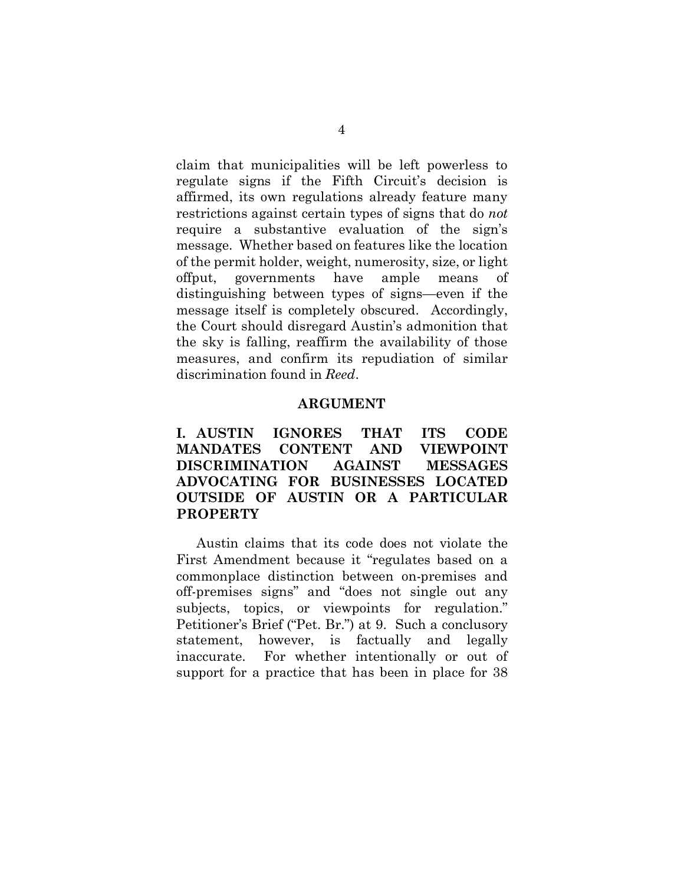claim that municipalities will be left powerless to regulate signs if the Fifth Circuit's decision is regulate signs if the Fifth Circuit's decision is affirmed, its own regulations already feature many affirmed, its own regulations already feature many restrictions against certain types of signs that do *not* require a substantive evaluation of the sign's require a substantive evaluation of the sign's message. Whether based on features like the location message. Whether based on features like the location of the permit holder, weight, numerosity, size, or light offput, governments have ample means of offput, governments have ample means of distinguishing between types of signs—even if the distinguishing between types of signs—even if the message itself is completely obscured. Accordingly, message itself is completely obscured. Accordingly, the Court should disregard Austin's admonition that the Court should disregard Austin's admonition that the sky is falling, reaffirm the availability of those measures, and confirm its repudiation of similar measures, and confirm its repudiation of similar discrimination found in Reed. discrimination found in *Reed*.

## ARGUMENT **ARGUMENT**

<span id="page-8-1"></span><span id="page-8-0"></span>I. AUSTIN IGNORES THAT ITS CODE **I. AUSTIN IGNORES THAT ITS CODE**  MANDATES CONTENT AND VIEWPOINT **MANDATES CONTENT AND VIEWPOINT**  DISCRIMINATION AGAINST MESSAGES **DISCRIMINATION AGAINST MESSAGES**  ADVOCATING FOR BUSINESSES LOCATED **ADVOCATING FOR BUSINESSES LOCATED**  OUTSIDE OF AUSTIN OR A PARTICULAR **OUTSIDE OF AUSTIN OR A PARTICULAR**  PROPERTY **PROPERTY**

Austin claims that its code does not violate the Austin claims that its code does not violate the First Amendment because it "regulates based on a First Amendment because it "regulates based on a commonplace distinction between on-premises and commonplace distinction between on-premises and off-premises signs" and "does not single out any off-premises signs" and "does not single out any subjects, topics, or viewpoints for regulation." Petitioner's Brief ("Pet. Br.") at 9. Such a conclusory Petitioner's Brief ("Pet. Br.") at 9. Such a conclusory statement, however, is factually and legally statement, however, is factually and legally inaccurate. For whether intentionally or out of inaccurate. For whether intentionally or out of support for a practice that has been in place for 38 support for a practice that has been in place for 38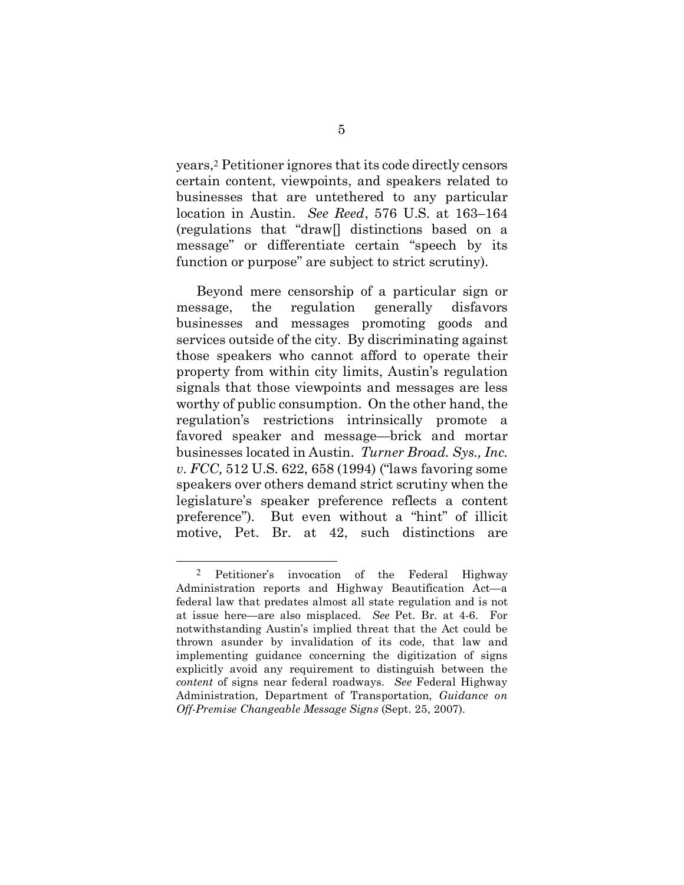years,[2](#page-9-3) Petitioner ignores that its code directly censors years,2 Petitioner ignores that its code directly censors certain content, viewpoints, and speakers related to businesses that are untethered to any particular businesses that are untethered to any particular location in Austin. See Reed, 576 U.S. at 163-164 location in Austin. *See Reed*, 576 U.S. at 163–164 (regulations that "drawl] distinctions based on a (regulations that "draw[] distinctions based on a message" or differentiate certain "speech by its message" or differentiate certain "speech by its function or purpose" are subject to strict scrutiny). function or purpose" are subject to strict scrutiny).

Beyond mere censorship of a particular sign or Beyond mere censorship of a particular sign or message, the regulation generally disfavors message, the regulation generally disfavors businesses and messages promoting goods and businesses and messages promoting goods and services outside of the city. By discriminating against services outside of the city. By discriminating against those speakers who cannot afford to operate their those speakers who cannot afford to operate their property from within city limits, Austin's regulation property from within city limits, Austin's regulation signals that those viewpoints and messages are less signals that those viewpoints and messages are less worthy of public consumption. On the other hand, the worthy of public consumption. On the other hand, the regulation's restrictions intrinsically promote a favored speaker and message—brick and mortar favored speaker and message—brick and mortar businesses located in Austin. Turner Broad. Sys., Inc. businesses located in Austin. *Turner Broad. Sys., Inc.*  v. FCC, 512 U.S. 622, 658 (1994) ("laws favoring some *v. FCC,* 512 U.S. 622, 658 (1994) ("laws favoring some speakers over others demand strict scrutiny when the speakers over others demand strict scrutiny when the legislature's speaker preference reflects a content legislature's speaker preference reflects a content preference"). But even without a "hint" of illicit preference"). But even without a "hint" of illicit motive, Pet. Br. at 42, such distinctions are motive, Pet. Br. at 42, such distinctions are

<span id="page-9-3"></span><span id="page-9-2"></span><span id="page-9-1"></span><span id="page-9-0"></span><sup>2</sup> Petitioner's invocation of the Federal Highway 2 Petitioner's invocation of the Federal Highway Administration reports and Highway Beautification Act—a Administration reports and Highway Beautification Act—a federal law that predates almost all state regulation and is not federal law that predates almost all state regulation and is not at issue here—are also misplaced. See Pet. Br. at 4-6. For at issue here—are also misplaced. *See* Pet. Br. at 4-6. For notwithstanding Austin's implied threat that the Act could be notwithstanding Austin's implied threat that the Act could be thrown asunder by invalidation of its code, that law and thrown asunder by invalidation of its code, that law and implementing guidance concerning the digitization of signs implementing guidance concerning the digitization of signs explicitly avoid any requirement to distinguish between the explicitly avoid any requirement to distinguish between the content of signs near federal roadways. See Federal Highway *content* of signs near federal roadways. *See* Federal Highway Administration, Department of Transportation, Guidance on Administration, Department of Transportation, *Guidance on*  Off-Premise Changeable Message Signs (Sept. 25, 2007). *Off-Premise Changeable Message Signs* (Sept. 25, 2007).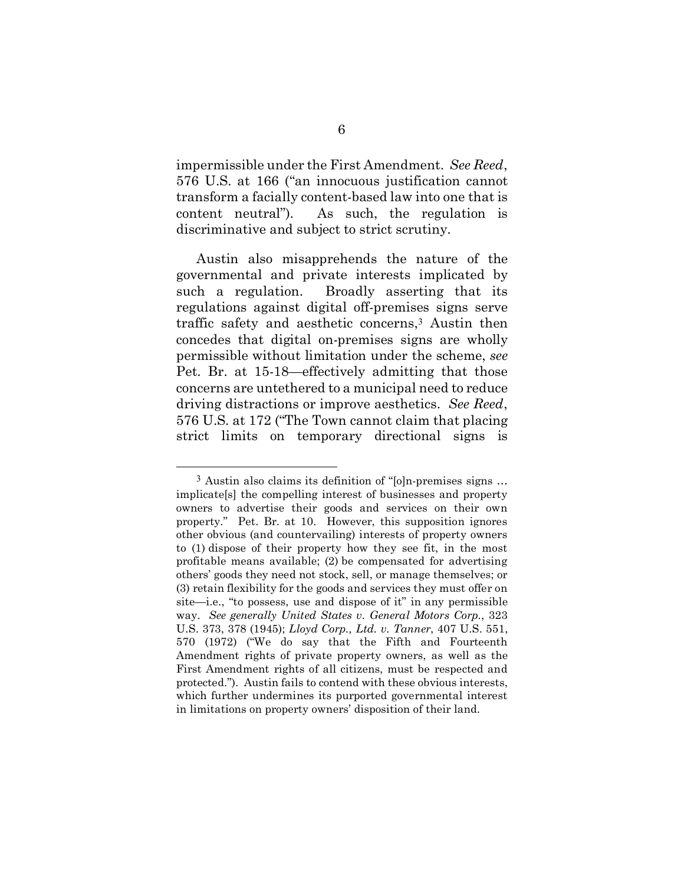impermissible under the First Amendment. See Reed, impermissible under the First Amendment. *See Reed*, 576 U.S. at 166 ("an innocuous justification cannot 576 U.S. at 166 ("an innocuous justification cannot transform a facially content-based law into one that is transform a facially content-based law into one that is content neutral"). As such, the regulation is discriminative and subject to strict scrutiny. discriminative and subject to strict scrutiny.

Austin also misapprehends the nature of the Austin also misapprehends the nature of the governmental and private interests implicated by governmental and private interests implicated by such a regulation. Broadly asserting that its regulations against digital off-premises signs serve regulations against digital off-premises signs serve traffic safety and aesthetic concerns,[3](#page-10-2) Austin then traffic safety and aesthetic concerns,<sup>3</sup> Austin then concedes that digital on-premises signs are wholly concedes that digital on-premises signs are wholly permissible without limitation under the scheme, see permissible without limitation under the scheme, *see*  Pet. Br. at 15-18—effectively admitting that those Pet. Br. at 15-18—effectively admitting that those concerns are untethered to a municipal need to reduce concerns are untethered to a municipal need to reduce driving distractions or improve aesthetics. See Reed, driving distractions or improve aesthetics. *See Reed*, 576 U.S. at 172 ("The Town cannot claim that placing 576 U.S. at 172 ("The Town cannot claim that placing strict limits on temporary directional signs is strict limits on temporary directional signs is

<span id="page-10-2"></span><span id="page-10-1"></span><span id="page-10-0"></span><sup>3</sup> Austin also claims its definition of "[o]n-premises signs ... 3 Austin also claims its definition of "[o]n-premises signs … implicate[s] the compelling interest of businesses and property implicate[s] the compelling interest of businesses and property owners to advertise their goods and services on their own property." Pet. Br. at 10. However, this supposition ignores property." Pet. Br. at 10. However, this supposition ignores other obvious (and countervailing) interests of property owners other obvious (and countervailing) interests of property owners to (1) dispose of their property how they see fit, in the most to (1) dispose of their property how they see fit, in the most profitable means available; (2) be compensated for advertising profitable means available; (2) be compensated for advertising others' goods they need not stock, sell, or manage themselves; or (3) retain flexibility for the goods and services they must offer on (3) retain flexibility for the goods and services they must offer on site—i.e., "to possess, use and dispose of it" in any permissible site—i.e., "to possess, use and dispose of it" in any permissible way. See generally United States v. General Motors Corp., 323 way. *See generally United States v. General Motors Corp.*, 323 U.S. 373, 378 (1945); Lloyd Corp., Ltd. v. Tanner, 407 U.S. 551, U.S. 373, 378 (1945); *Lloyd Corp., Ltd. v. Tanner*, 407 U.S. 551, 570 (1972) ("We do say that the Fifth and Fourteenth 570 (1972) ("We do say that the Fifth and Fourteenth Amendment rights of private property owners, as well as the Amendment rights of private property owners, as well as the First Amendment rights of all citizens, must be respected and First Amendment rights of all citizens, must be respected and protected."). Austin fails to contend with these obvious interests, protected."). Austin fails to contend with these obvious interests, which further undermines its purported governmental interest which further undermines its purported governmental interest in limitations on property owners' disposition of their land. in limitations on property owners' disposition of their land.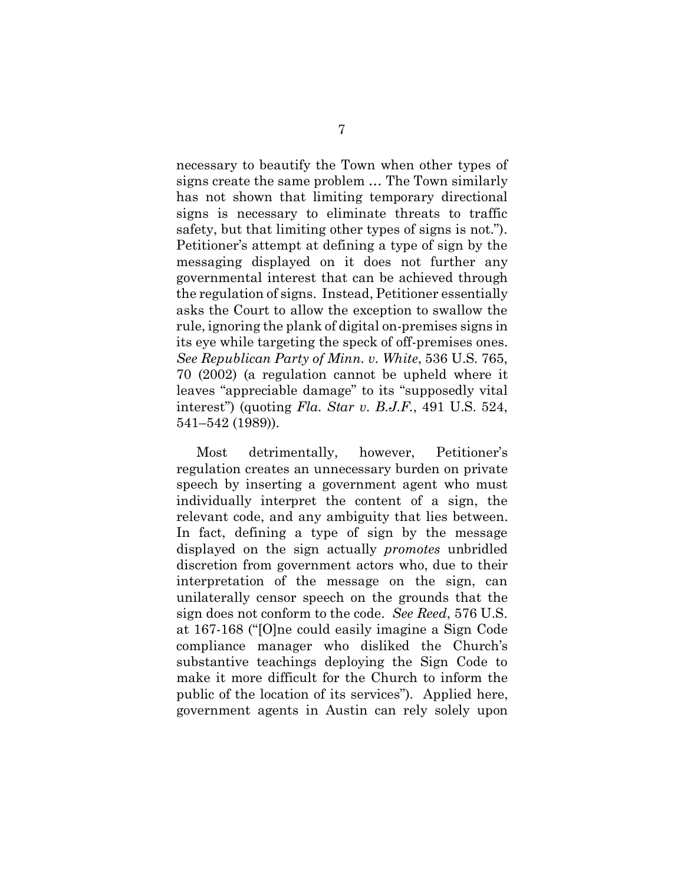necessary to beautify the Town when other types of necessary to beautify the Town when other types of signs create the same problem ... The Town similarly signs create the same problem … The Town similarly has not shown that limiting temporary directional has not shown that limiting temporary directional signs is necessary to eliminate threats to traffic safety, but that limiting other types of signs is not."). safety, but that limiting other types of signs is not."). Petitioner's attempt at defining a type of sign by the Petitioner's attempt at defining a type of sign by the messaging displayed on it does not further any messaging displayed on it does not further any governmental interest that can be achieved through governmental interest that can be achieved through the regulation of signs. Instead, Petitioner essentially the regulation of signs. Instead, Petitioner essentially asks the Court to allow the exception to swallow the asks the Court to allow the exception to swallow the rule, ignoring the plank of digital on-premises signs in its eye while targeting the speck of off-premises ones. its eye while targeting the speck of off-premises ones. See Republican Party of Minn. v. White, 536 U.S. 765, *See Republican Party of Minn. v. White*, 536 U.S. 765, 70 (2002) (a regulation cannot be upheld where it 70 (2002) (a regulation cannot be upheld where it leaves "appreciable damage" to its "supposedly vital leaves "appreciable damage" to its "supposedly vital interest") (quoting Fla. Star v. B.J.F., 491 U.S. 524, interest") (quoting *Fla. Star v. B.J.F.*, 491 U.S. 524, 541-542 (1989)). 541–542 (1989)).

<span id="page-11-1"></span><span id="page-11-0"></span>Most detrimentally, however, Petitioner's Most detrimentally, however, Petitioner's regulation creates an unnecessary burden on private regulation creates an unnecessary burden on private speech by inserting a government agent who must speech by inserting a government agent who must individually interpret the content of a sign, the individually interpret the content of a sign, the relevant code, and any ambiguity that lies between. In fact, defining a type of sign by the message In fact, defining a type of sign by the message displayed on the sign actually promotes unbridled displayed on the sign actually *promotes* unbridled discretion from government actors who, due to their discretion from government actors who, due to their interpretation of the message on the sign, can interpretation of the message on the sign, can unilaterally censor speech on the grounds that the unilaterally censor speech on the grounds that the sign does not conform to the code. See Reed, 576 U.S. at 167-168 ("[O]ne could easily imagine a Sign Code at 167-168 ("[O]ne could easily imagine a Sign Code compliance manager who disliked the Church's compliance manager who disliked the Church's substantive teachings deploying the Sign Code to make it more difficult for the Church to inform the make it more difficult for the Church to inform the public of the location of its services"). Applied here, public of the location of its services"). Applied here, government agents in Austin can rely solely upon government agents in Austin can rely solely upon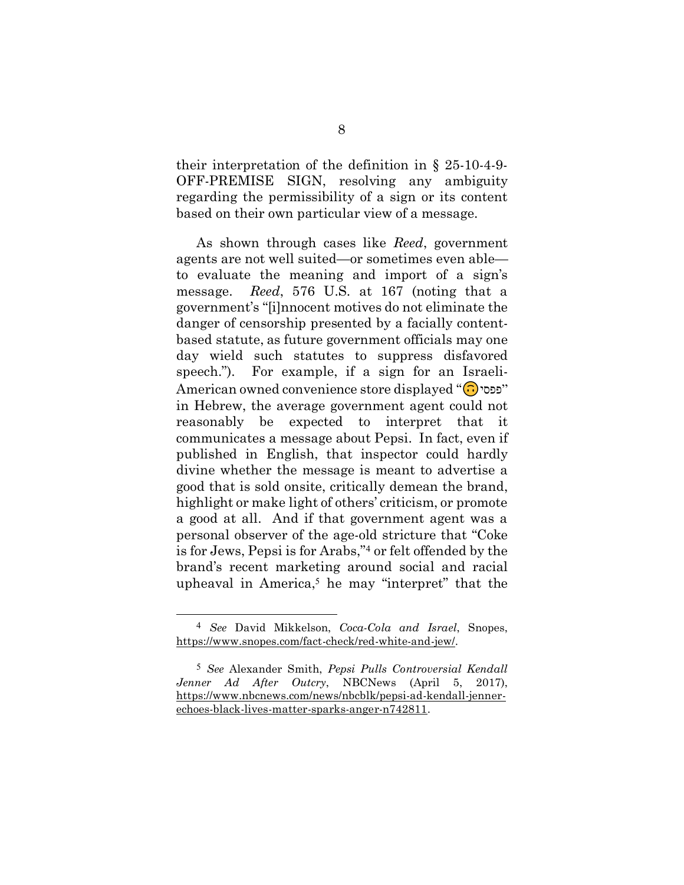<span id="page-12-0"></span>their interpretation of the definition in  $\S$  25-10-4-9-OFF-PREMISE SIGN, resolving any ambiguity OFF-PREMISE SIGN, resolving any ambiguity regarding the permissibility of a sign or its content based on their own particular view of a message. based on their own particular view of a message.

As shown through cases like Reed, government As shown through cases like *Reed*, government agents are not well suited—or sometimes even able— agents are not well suited—or sometimes even able to evaluate the meaning and import of a sign's to evaluate the meaning and import of a sign's message. Reed, 576 U.S. at 167 (noting that a message. *Reed*, 576 U.S. at 167 (noting that a government's "[i]nnocent motives do not eliminate the government's "[i]nnocent motives do not eliminate the danger of censorship presented by a facially content-danger of censorship presented by a facially contentbased statute, as future government officials may one based statute, as future government officials may one day wield such statutes to suppress disfavored day wield such statutes to suppress disfavored speech."). For example, if a sign for an Israeli-speech."). For example, if a sign for an Israeli-American owned convenience store displayed "פפסי" in Hebrew, the average government agent could not in Hebrew, the average government agent could not reasonably be expected to interpret that it communicates a message about Pepsi. In fact, even if communicates a message about Pepsi. In fact, even if published in English, that inspector could hardly published in English, that inspector could hardly divine whether the message is meant to advertise a divine whether the message is meant to advertise a good that is sold onsite, critically demean the brand, good that is sold onsite, critically demean the brand, highlight or make light of others' criticism, or promote highlight or make light of others' criticism, or promote a good at all. And if that government agent was a a good at all. And if that government agent was a personal observer of the age-old stricture that "Coke personal observer of the age-old stricture that "Coke is for Jews, Pepsi is for Arabs,["4](#page-12-3) or felt offended by the is for Jews, Pepsi is for Arabs,"<sup>4</sup> or felt offended by the brand's recent marketing around social and racial brand's recent marketing around social and racial upheaval in America[,5](#page-12-4) he may "interpret" that the upheaval in America,<sup>5</sup> he may "interpret" that the

<span id="page-12-3"></span><span id="page-12-1"></span><sup>4</sup> See David Mikkelson, Coca-Cola and Israel, Snopes, 4 *See* David Mikkelson, *Coca-Cola and Israel*, Snopes, [https://www.snopes.com/fact-check/red-white-and-jew/.](https://www.snopes.com/fact-check/red-white-and-jew/) https://www.snopes.com/fact-check/red-white-and-jew/.

<span id="page-12-4"></span><span id="page-12-2"></span><sup>5</sup> See Alexander Smith, Pepsi Pulls Controversial Kendall 5 *See* Alexander Smith, *Pepsi Pulls Controversial Kendall*  Jenner Ad After Outcry, NBCNews (April 5, 2017), *Jenner Ad After Outcry*, NBCNews (April 5, 2017), [https://www.nbcnews.com/news/nbcblk/pepsi-ad-kendall-jenner-](https://www.nbcnews.com/news/nbcblk/pepsi-ad-kendall-jenner-echoes-black-lives-matter-sparks-anger-n742811)https://www.nbcnews.com/news/nbcblk/pepsi-ad-kendall-jenner[echoes-black-lives-matter-sparks-anger-n742811.](https://www.nbcnews.com/news/nbcblk/pepsi-ad-kendall-jenner-echoes-black-lives-matter-sparks-anger-n742811) echoes-black-lives-matter-sparks-anger-n742811.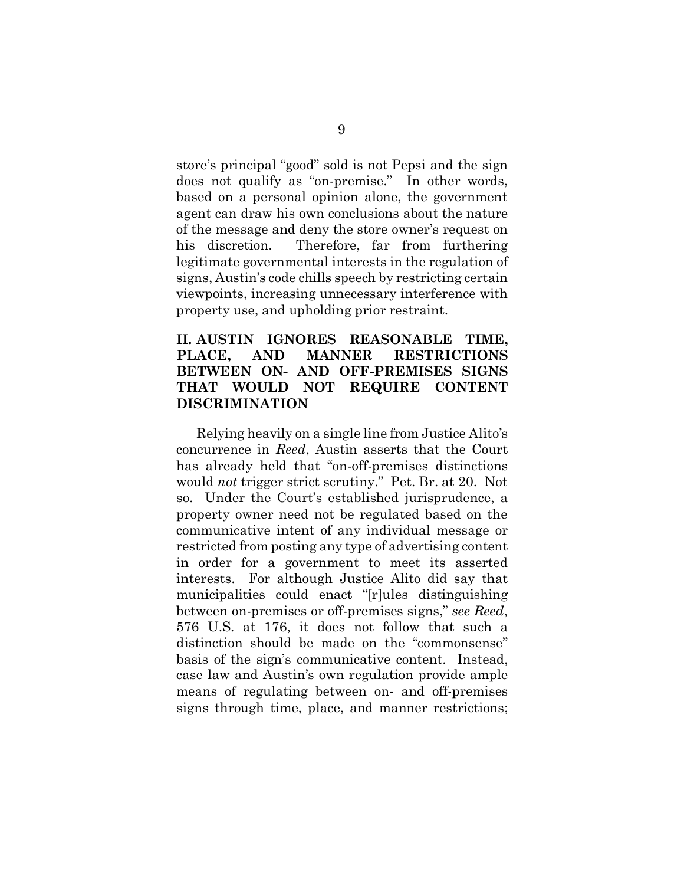store's principal "good" sold is not Pepsi and the sign does not qualify as "on-premise." In other words, does not qualify as "on-premise." In other words, based on a personal opinion alone, the government based on a personal opinion alone, the government agent can draw his own conclusions about the nature agent can draw his own conclusions about the nature of the message and deny the store owner's request on his discretion. Therefore, far from furthering his discretion. Therefore, far from furthering legitimate governmental interests in the regulation of legitimate governmental interests in the regulation of signs, Austin's code chills speech by restricting certain signs, Austin's code chills speech by restricting certain viewpoints, increasing unnecessary interference with viewpoints, increasing unnecessary interference with property use, and upholding prior restraint. property use, and upholding prior restraint.

# <span id="page-13-0"></span>II. AUSTIN IGNORES REASONABLE TIME, **II. AUSTIN IGNORES REASONABLE TIME,**  PLACE, AND MANNER RESTRICTIONS **PLACE, AND MANNER RESTRICTIONS**  BETWEEN ON- AND OFF-PREMISES SIGNS **BETWEEN ON- AND OFF-PREMISES SIGNS**  THAT WOULD NOT REQUIRE CONTENT **THAT WOULD NOT REQUIRE CONTENT**  DISCRIMINATION **DISCRIMINATION**

Relying heavily on a single line from Justice Alito's Relying heavily on a single line from Justice Alito's concurrence in *Reed*, Austin asserts that the Court has already held that "on-off-premises distinctions has already held that "on-off-premises distinctions would not trigger strict scrutiny." Pet. Br. at 20. Not would *not* trigger strict scrutiny." Pet. Br. at 20. Not so. Under the Court's established jurisprudence, a so. Under the Court's established jurisprudence, a property owner need not be regulated based on the property owner need not be regulated based on the communicative intent of any individual message or communicative intent of any individual message or restricted from posting any type of advertising content restricted from posting any type of advertising content in order for a government to meet its asserted in order for a government to meet its asserted interests. For although Justice Alito did say that interests. For although Justice Alito did say that municipalities could enact "[r]ules distinguishing between on-premises or off-premises signs," see Reed, between on-premises or off-premises signs," *see Reed*, 576 U.S. at 176, it does not follow that such a 576 U.S. at 176, it does not follow that such a distinction should be made on the "commonsense" distinction should be made on the "commonsense" basis of the sign's communicative content. Instead, basis of the sign's communicative content. Instead, case law and Austin's own regulation provide ample case law and Austin's own regulation provide ample means of regulating between on- and off-premises means of regulating between on- and off-premises signs through time, place, and manner restrictions; signs through time, place, and manner restrictions;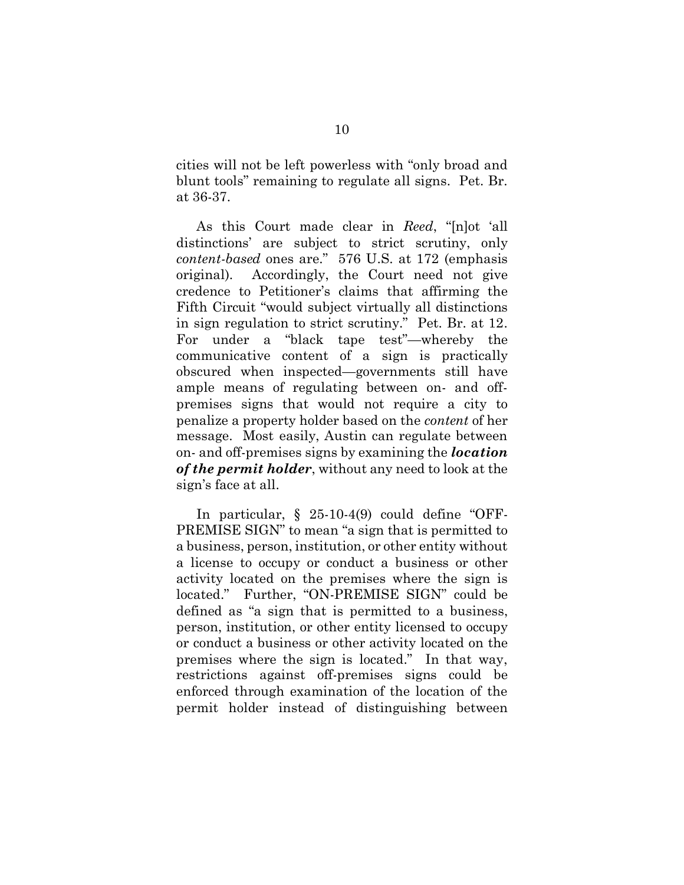cities will not be left powerless with "only broad and cities will not be left powerless with "only broad and blunt tools" remaining to regulate all signs. Pet. Br. blunt tools" remaining to regulate all signs. Pet. Br. at 36-37. at 36-37.

As this Court made clear in Reed, "[n]ot `all As this Court made clear in *Reed*, "[n]ot 'all distinctions' are subject to strict scrutiny, only distinctions' are subject to strict scrutiny, only content-based ones are." 576 U.S. at 172 (emphasis *content-based* ones are." 576 U.S. at 172 (emphasis original). Accordingly, the Court need not give credence to Petitioner's claims that affirming the credence to Petitioner's claims that affirming the Fifth Circuit "would subject virtually all distinctions Fifth Circuit "would subject virtually all distinctions in sign regulation to strict scrutiny." Pet. Br. at 12. in sign regulation to strict scrutiny." Pet. Br. at 12. For under a "black tape test"—whereby the For under a "black tape test"—whereby the communicative content of a sign is practically communicative content of a sign is practically obscured when inspected—governments still have obscured when inspected—governments still have ample means of regulating between on- and off-ample means of regulating between on- and offpremises signs that would not require a city to premises signs that would not require a city to penalize a property holder based on the content of her penalize a property holder based on the *content* of her message. Most easily, Austin can regulate between message. Most easily, Austin can regulate between on- and off-premises signs by examining the location on- and off-premises signs by examining the *location* of the permit holder, without any need to look at the *of the permit holder*, without any need to look at the sign's face at all. sign's face at all.

<span id="page-14-0"></span>In particular, § 25-10-4(9) could define "OFF-In particular, § 25-10-4(9) could define "OFF-PREMISE SIGN" to mean "a sign that is permitted to PREMISE SIGN" to mean "a sign that is permitted to a business, person, institution, or other entity without a business, person, institution, or other entity without a license to occupy or conduct a business or other a license to occupy or conduct a business or other activity located on the premises where the sign is activity located on the premises where the sign is located." Further, "ON-PREMISE SIGN" could be defined as "a sign that is permitted to a business, defined as "a sign that is permitted to a business, person, institution, or other entity licensed to occupy person, institution, or other entity licensed to occupy or conduct a business or other activity located on the premises where the sign is located." In that way, premises where the sign is located." In that way, restrictions against off-premises signs could be restrictions against off-premises signs could be enforced through examination of the location of the enforced through examination of the location of the permit holder instead of distinguishing between permit holder instead of distinguishing between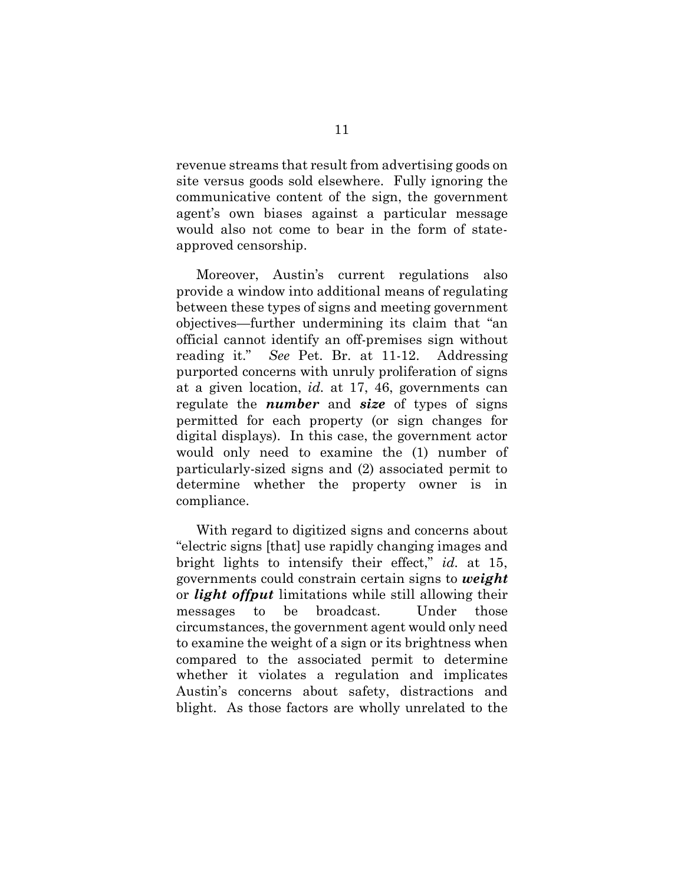revenue streams that result from advertising goods on site versus goods sold elsewhere. Fully ignoring the site versus goods sold elsewhere. Fully ignoring the communicative content of the sign, the government communicative content of the sign, the government agent's own biases against a particular message agent's own biases against a particular message would also not come to bear in the form of state-would also not come to bear in the form of stateapproved censorship. approved censorship.

Moreover, Austin's current regulations also Moreover, Austin's current regulations also provide a window into additional means of regulating provide a window into additional means of regulating between these types of signs and meeting government between these types of signs and meeting government objectives—further undermining its claim that "an objectives—further undermining its claim that "an official cannot identify an off-premises sign without official cannot identify an off-premises sign without reading it." See Pet. Br. at 11-12. Addressing purported concerns with unruly proliferation of signs purported concerns with unruly proliferation of signs at a given location, id. at 17, 46, governments can at a given location, *id.* at 17, 46, governments can regulate the *number* and *size* of types of signs permitted for each property (or sign changes for permitted for each property (or sign changes for digital displays). In this case, the government actor digital displays). In this case, the government actor would only need to examine the (1) number of would only need to examine the (1) number of particularly-sized signs and (2) associated permit to particularly-sized signs and (2) associated permit to determine whether the property owner is in determine whether the property owner is in compliance. compliance.

With regard to digitized signs and concerns about With regard to digitized signs and concerns about "electric signs [that] use rapidly changing images and "electric signs [that] use rapidly changing images and bright lights to intensify their effect," id. at 15, bright lights to intensify their effect," *id.* at 15, governments could constrain certain signs to weight governments could constrain certain signs to *weight*  or *light offput* limitations while still allowing their messages to be broadcast. Under those messages to be broadcast. Under those circumstances, the government agent would only need circumstances, the government agent would only need to examine the weight of a sign or its brightness when to examine the weight of a sign or its brightness when compared to the associated permit to determine compared to the associated permit to determine whether it violates a regulation and implicates whether it violates a regulation and implicates Austin's concerns about safety, distractions and Austin's concerns about safety, distractions and blight. As those factors are wholly unrelated to the blight. As those factors are wholly unrelated to the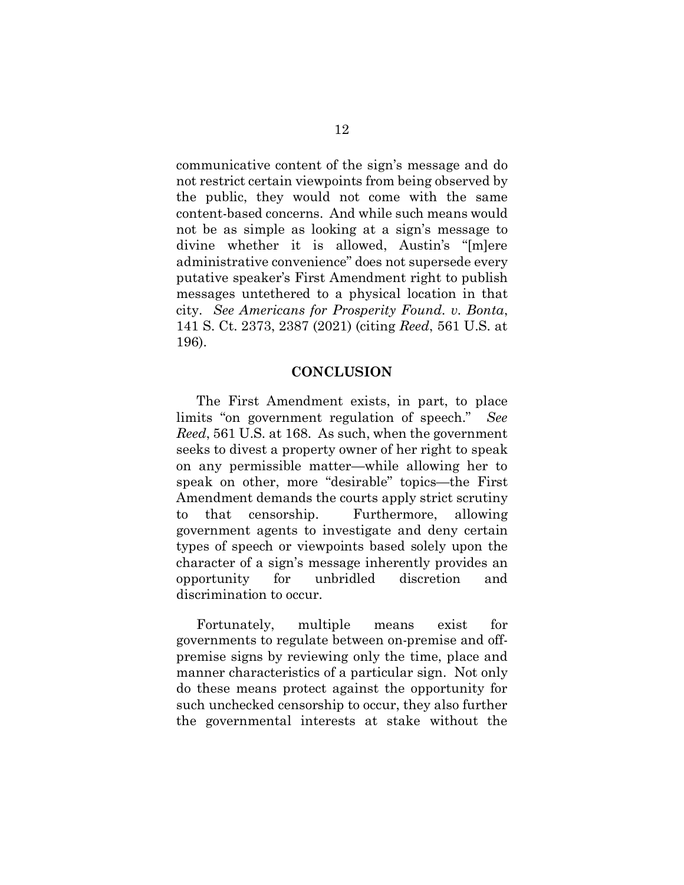communicative content of the sign's message and do communicative content of the sign's message and do not restrict certain viewpoints from being observed by not restrict certain viewpoints from being observed by the public, they would not come with the same the public, they would not come with the same content-based concerns. And while such means would not be as simple as looking at a sign's message to not be as simple as looking at a sign's message to divine whether it is allowed, Austin's "[m]ere divine whether it is allowed, Austin's "[m]ere administrative convenience" does not supersede every administrative convenience" does not supersede every putative speaker's First Amendment right to publish putative speaker's First Amendment right to publish messages untethered to a physical location in that messages untethered to a physical location in that city. See Americans for Prosperity Found. v. Bonta, city. *See Americans for Prosperity Found. v. Bonta*, 141 S. Ct. 2373, 2387 (2021) (citing Reed, 561 U.S. at 141 S. Ct. 2373, 2387 (2021) (citing *Reed*, 561 U.S. at 196). 196).

## <span id="page-16-1"></span>CONCLUSION **CONCLUSION**

<span id="page-16-0"></span>The First Amendment exists, in part, to place The First Amendment exists, in part, to place limits "on government regulation of speech." See limits "on government regulation of speech." *See*  Reed, 561 U.S. at 168. As such, when the government *Reed*, 561 U.S. at 168. As such, when the government seeks to divest a property owner of her right to speak seeks to divest a property owner of her right to speak on any permissible matter—while allowing her to speak on other, more "desirable" topics—the First speak on other, more "desirable" topics—the First Amendment demands the courts apply strict scrutiny Amendment demands the courts apply strict scrutiny to that censorship. Furthermore, allowing government agents to investigate and deny certain government agents to investigate and deny certain types of speech or viewpoints based solely upon the types of speech or viewpoints based solely upon the character of a sign's message inherently provides an character of a sign's message inherently provides an opportunity for unbridled discretion and opportunity for unbridled discretion and discrimination to occur. discrimination to occur.

Fortunately, multiple means exist for Fortunately, multiple means exist for governments to regulate between on-premise and off-governments to regulate between on-premise and offpremise signs by reviewing only the time, place and premise signs by reviewing only the time, place and manner characteristics of a particular sign. Not only manner characteristics of a particular sign. Not only do these means protect against the opportunity for do these means protect against the opportunity for such unchecked censorship to occur, they also further the governmental interests at stake without the the governmental interests at stake without the